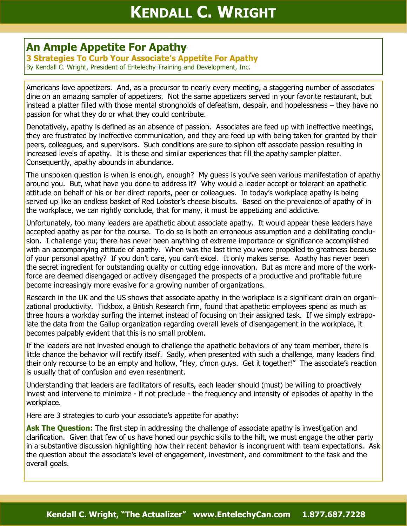## **An Ample Appetite For Apathy**

**3 Strategies To Curb Your Associate's Appetite For Apathy** By Kendall C. Wright, President of Entelechy Training and Development, Inc.

Americans love appetizers. And, as a precursor to nearly every meeting, a staggering number of associates dine on an amazing sampler of appetizers. Not the same appetizers served in your favorite restaurant, but instead a platter filled with those mental strongholds of defeatism, despair, and hopelessness – they have no passion for what they do or what they could contribute.

Denotatively, apathy is defined as an absence of passion. Associates are feed up with ineffective meetings, they are frustrated by ineffective communication, and they are feed up with being taken for granted by their peers, colleagues, and supervisors. Such conditions are sure to siphon off associate passion resulting in increased levels of apathy. It is these and similar experiences that fill the apathy sampler platter. Consequently, apathy abounds in abundance.

The unspoken question is when is enough, enough? My guess is you've seen various manifestation of apathy around you. But, what have you done to address it? Why would a leader accept or tolerant an apathetic attitude on behalf of his or her direct reports, peer or colleagues. In today's workplace apathy is being served up like an endless basket of Red Lobster's cheese biscuits. Based on the prevalence of apathy of in the workplace, we can rightly conclude, that for many, it must be appetizing and addictive.

Unfortunately, too many leaders are apathetic about associate apathy. It would appear these leaders have accepted apathy as par for the course. To do so is both an erroneous assumption and a debilitating conclusion. I challenge you; there has never been anything of extreme importance or significance accomplished with an accompanying attitude of apathy. When was the last time you were propelled to greatness because of your personal apathy? If you don't care, you can't excel. It only makes sense. Apathy has never been the secret ingredient for outstanding quality or cutting edge innovation. But as more and more of the workforce are deemed disengaged or actively disengaged the prospects of a productive and profitable future become increasingly more evasive for a growing number of organizations.

Research in the UK and the US shows that associate apathy in the workplace is a significant drain on organizational productivity. Tickbox, a British Research firm, found that apathetic employees spend as much as three hours a workday surfing the internet instead of focusing on their assigned task. If we simply extrapolate the data from the Gallup organization regarding overall levels of disengagement in the workplace, it becomes palpably evident that this is no small problem.

If the leaders are not invested enough to challenge the apathetic behaviors of any team member, there is little chance the behavior will rectify itself. Sadly, when presented with such a challenge, many leaders find their only recourse to be an empty and hollow, "Hey, c'mon guys. Get it together!" The associate's reaction is usually that of confusion and even resentment.

Understanding that leaders are facilitators of results, each leader should (must) be willing to proactively invest and intervene to minimize - if not preclude - the frequency and intensity of episodes of apathy in the workplace.

Here are 3 strategies to curb your associate's appetite for apathy:

**Ask The Question:** The first step in addressing the challenge of associate apathy is investigation and clarification. Given that few of us have honed our psychic skills to the hilt, we must engage the other party in a substantive discussion highlighting how their recent behavior is incongruent with team expectations. Ask the question about the associate's level of engagement, investment, and commitment to the task and the overall goals.